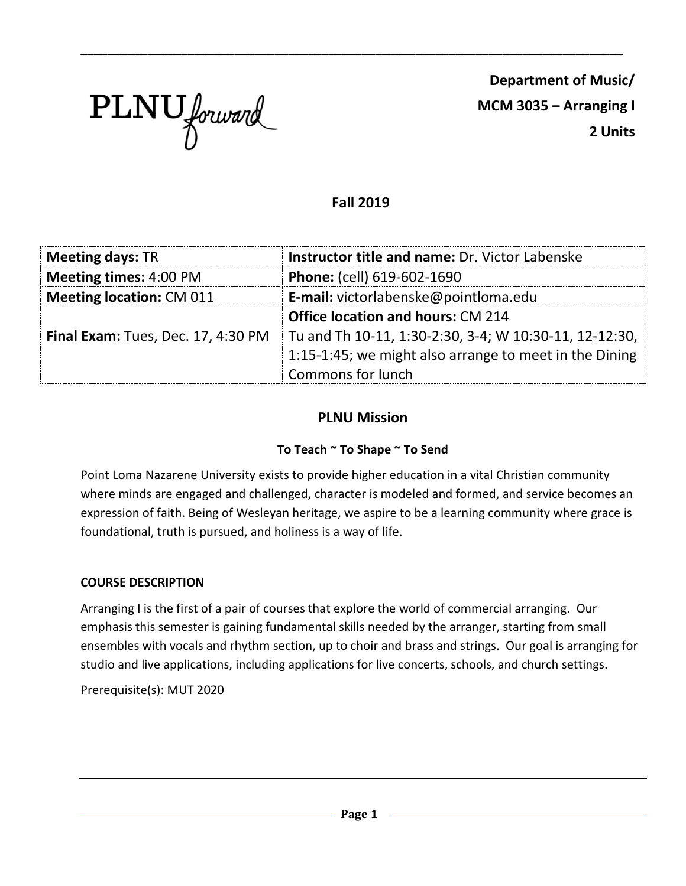

**Department of Music/ MCM 3035 – Arranging I 2 Units**

# **Fall 2019**

\_\_\_\_\_\_\_\_\_\_\_\_\_\_\_\_\_\_\_\_\_\_\_\_\_\_\_\_\_\_\_\_\_\_\_\_\_\_\_\_\_\_\_\_\_\_\_\_\_\_\_\_\_\_\_\_\_\_\_\_\_\_\_\_\_\_\_\_\_\_\_\_\_\_\_\_\_\_\_\_\_

| <b>Meeting days: TR</b>            | Instructor title and name: Dr. Victor Labenske         |  |  |
|------------------------------------|--------------------------------------------------------|--|--|
| <b>Meeting times: 4:00 PM</b>      | Phone: (cell) 619-602-1690                             |  |  |
| <b>Meeting location: CM 011</b>    | E-mail: victorlabenske@pointloma.edu                   |  |  |
|                                    | <b>Office location and hours: CM 214</b>               |  |  |
| Final Exam: Tues, Dec. 17, 4:30 PM | Tu and Th 10-11, 1:30-2:30, 3-4; W 10:30-11, 12-12:30, |  |  |
|                                    | 1:15-1:45; we might also arrange to meet in the Dining |  |  |
|                                    | Commons for lunch                                      |  |  |

# **PLNU Mission**

## **To Teach ~ To Shape ~ To Send**

Point Loma Nazarene University exists to provide higher education in a vital Christian community where minds are engaged and challenged, character is modeled and formed, and service becomes an expression of faith. Being of Wesleyan heritage, we aspire to be a learning community where grace is foundational, truth is pursued, and holiness is a way of life.

## **COURSE DESCRIPTION**

Arranging I is the first of a pair of courses that explore the world of commercial arranging. Our emphasis this semester is gaining fundamental skills needed by the arranger, starting from small ensembles with vocals and rhythm section, up to choir and brass and strings. Our goal is arranging for studio and live applications, including applications for live concerts, schools, and church settings.

Prerequisite(s): MUT 2020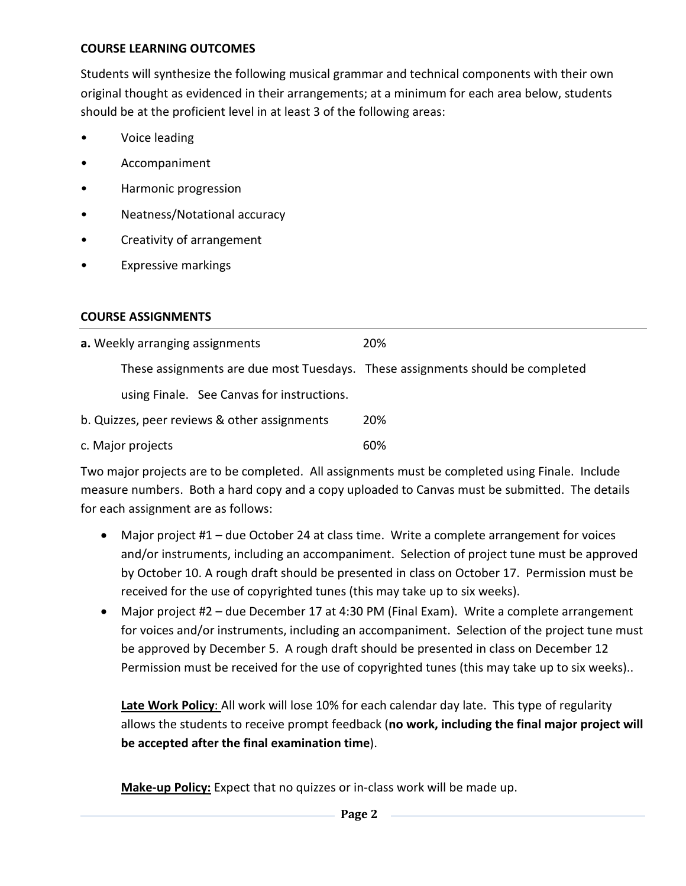## **COURSE LEARNING OUTCOMES**

Students will synthesize the following musical grammar and technical components with their own original thought as evidenced in their arrangements; at a minimum for each area below, students should be at the proficient level in at least 3 of the following areas:

- Voice leading
- Accompaniment
- Harmonic progression
- Neatness/Notational accuracy
- Creativity of arrangement
- Expressive markings

## **COURSE ASSIGNMENTS**

| a. Weekly arranging assignments                                                | 20% |
|--------------------------------------------------------------------------------|-----|
| These assignments are due most Tuesdays. These assignments should be completed |     |
| using Finale. See Canvas for instructions.                                     |     |
| b. Quizzes, peer reviews & other assignments                                   | 20% |
| c. Major projects                                                              | 60% |

Two major projects are to be completed. All assignments must be completed using Finale. Include measure numbers. Both a hard copy and a copy uploaded to Canvas must be submitted. The details for each assignment are as follows:

- Major project #1 due October 24 at class time. Write a complete arrangement for voices and/or instruments, including an accompaniment. Selection of project tune must be approved by October 10. A rough draft should be presented in class on October 17. Permission must be received for the use of copyrighted tunes (this may take up to six weeks).
- Major project #2 due December 17 at 4:30 PM (Final Exam). Write a complete arrangement for voices and/or instruments, including an accompaniment. Selection of the project tune must be approved by December 5. A rough draft should be presented in class on December 12 Permission must be received for the use of copyrighted tunes (this may take up to six weeks)..

**Late Work Policy**: All work will lose 10% for each calendar day late. This type of regularity allows the students to receive prompt feedback (**no work, including the final major project will be accepted after the final examination time**).

**Make-up Policy:** Expect that no quizzes or in-class work will be made up.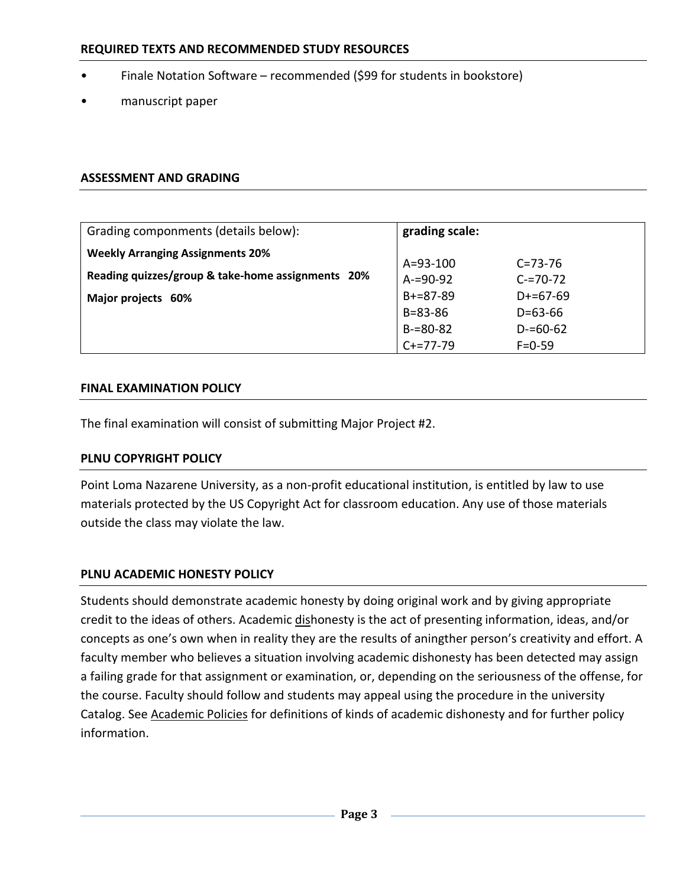- Finale Notation Software recommended (\$99 for students in bookstore)
- manuscript paper

#### **ASSESSMENT AND GRADING**

| Grading componments (details below):                                                                               | grading scale:                                                                  |                                                                                |
|--------------------------------------------------------------------------------------------------------------------|---------------------------------------------------------------------------------|--------------------------------------------------------------------------------|
| <b>Weekly Arranging Assignments 20%</b><br>Reading quizzes/group & take-home assignments 20%<br>Major projects 60% | $A = 93 - 100$<br>$A = 90 - 92$<br>$B+=87-89$<br>$B = 83 - 86$<br>$B = 80 - 82$ | $C = 73 - 76$<br>$C = 70 - 72$<br>$D+=67-69$<br>$D = 63 - 66$<br>$D = 60 - 62$ |
|                                                                                                                    | $C+=77-79$                                                                      | $F = 0 - 59$                                                                   |

#### **FINAL EXAMINATION POLICY**

The final examination will consist of submitting Major Project #2.

## **PLNU COPYRIGHT POLICY**

Point Loma Nazarene University, as a non-profit educational institution, is entitled by law to use materials protected by the US Copyright Act for classroom education. Any use of those materials outside the class may violate the law.

## **PLNU ACADEMIC HONESTY POLICY**

Students should demonstrate academic honesty by doing original work and by giving appropriate credit to the ideas of others. Academic dishonesty is the act of presenting information, ideas, and/or concepts as one's own when in reality they are the results of aningther person's creativity and effort. A faculty member who believes a situation involving academic dishonesty has been detected may assign a failing grade for that assignment or examination, or, depending on the seriousness of the offense, for the course. Faculty should follow and students may appeal using the procedure in the university Catalog. See [Academic Policies](http://catalog.pointloma.edu/content.php?catoid=18&navoid=1278) for definitions of kinds of academic dishonesty and for further policy information.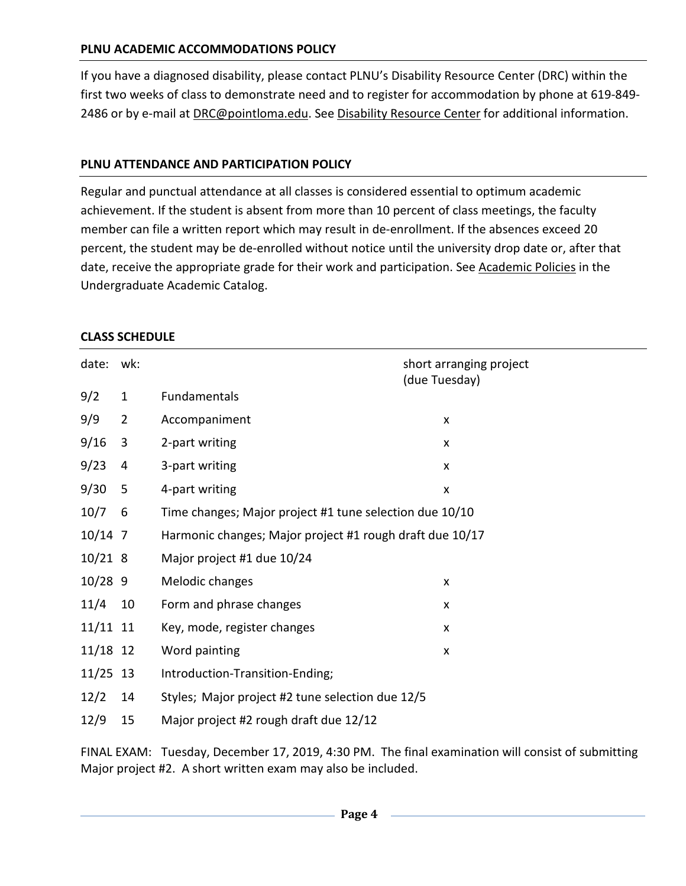## **PLNU ACADEMIC ACCOMMODATIONS POLICY**

If you have a diagnosed disability, please contact PLNU's Disability Resource Center (DRC) within the first two weeks of class to demonstrate need and to register for accommodation by phone at 619-849- 2486 or by e-mail at [DRC@pointloma.edu.](mailto:DRC@pointloma.edu) See [Disability Resource Center](http://www.pointloma.edu/experience/offices/administrative-offices/academic-advising-office/disability-resource-center) for additional information.

## **PLNU ATTENDANCE AND PARTICIPATION POLICY**

Regular and punctual attendance at all classes is considered essential to optimum academic achievement. If the student is absent from more than 10 percent of class meetings, the faculty member can file a written report which may result in de-enrollment. If the absences exceed 20 percent, the student may be de-enrolled without notice until the university drop date or, after that date, receive the appropriate grade for their work and participation. See [Academic Policies](http://catalog.pointloma.edu/content.php?catoid=18&navoid=1278) in the Undergraduate Academic Catalog.

#### **CLASS SCHEDULE**

| date: wk:  |                |                                                          | short arranging project<br>(due Tuesday) |  |
|------------|----------------|----------------------------------------------------------|------------------------------------------|--|
| 9/2        | $\mathbf{1}$   | Fundamentals                                             |                                          |  |
| 9/9        | $\overline{2}$ | Accompaniment                                            | X                                        |  |
| 9/16       | 3              | 2-part writing                                           | $\pmb{\times}$                           |  |
| 9/23       | 4              | 3-part writing                                           | X                                        |  |
| 9/30       | 5              | 4-part writing                                           | $\boldsymbol{\mathsf{x}}$                |  |
| 10/7       | 6              | Time changes; Major project #1 tune selection due 10/10  |                                          |  |
| $10/14$ 7  |                | Harmonic changes; Major project #1 rough draft due 10/17 |                                          |  |
| 10/218     |                | Major project #1 due 10/24                               |                                          |  |
| $10/28$ 9  |                | Melodic changes                                          | $\pmb{\times}$                           |  |
| 11/4       | 10             | Form and phrase changes                                  | X                                        |  |
| 11/11 11   |                | Key, mode, register changes                              | $\pmb{\times}$                           |  |
| 11/18 12   |                | Word painting                                            | X                                        |  |
| $11/25$ 13 |                | Introduction-Transition-Ending;                          |                                          |  |
| 12/2       | 14             | Styles; Major project #2 tune selection due 12/5         |                                          |  |
| 12/9       | 15             | Major project #2 rough draft due 12/12                   |                                          |  |

FINAL EXAM: Tuesday, December 17, 2019, 4:30 PM. The final examination will consist of submitting Major project #2. A short written exam may also be included.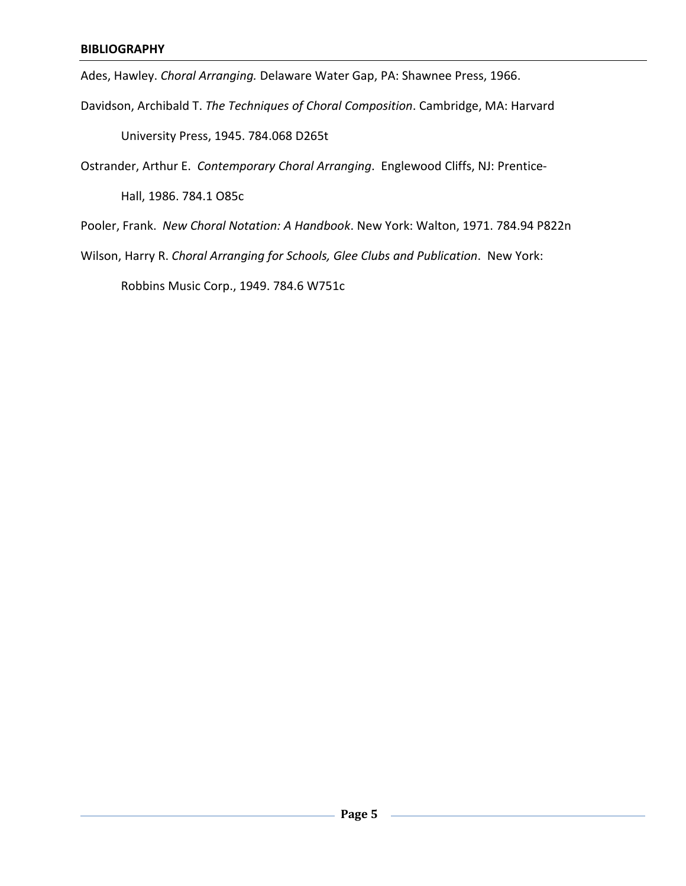Ades, Hawley. *Choral Arranging.* Delaware Water Gap, PA: Shawnee Press, 1966.

Davidson, Archibald T. *The Techniques of Choral Composition*. Cambridge, MA: Harvard

University Press, 1945. 784.068 D265t

Ostrander, Arthur E. *Contemporary Choral Arranging*. Englewood Cliffs, NJ: Prentice-

Hall, 1986. 784.1 O85c

Pooler, Frank. *New Choral Notation: A Handbook*. New York: Walton, 1971. 784.94 P822n

Wilson, Harry R. *Choral Arranging for Schools, Glee Clubs and Publication*. New York:

Robbins Music Corp., 1949. 784.6 W751c